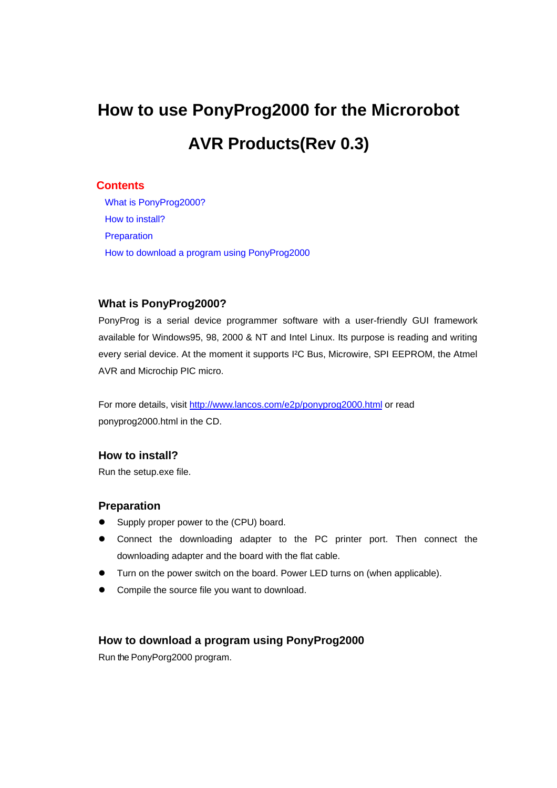# **How to use PonyProg2000 for the Microrobot AVR Products(Rev 0.3)**

### **Contents**

What is PonyProg2000? How to install? **Preparation** [How to download a prog](#page-0-0)ram using PonyProg2000

## **What is PonyProg2000?**

<span id="page-0-0"></span>PonyProg is a serial device programmer software with a user-friendly GUI framework available for Windows95, 98, 2000 & NT and Intel Linux. Its purpose is reading and writing every serial device. At the moment it supports I²C Bus, Microwire, SPI EEPROM, the Atmel AVR and Microchip PIC micro.

For more details, visit http://www.lancos.com/e2p/ponyprog2000.html or read ponyprog2000.html in the CD.

## **How to install?**

Run the setup.exe file.

## **Preparation**

- **•** Supply proper power to the (CPU) board.
- Connect the downloading adapter to the PC printer port. Then connect the downloading adapter and the board with the flat cable.
- **Turn on the power switch on the board. Power LED turns on (when applicable).**
- Compile the source file you want to download.

## **How to download a program using PonyProg2000**

Run the PonyPorg2000 program.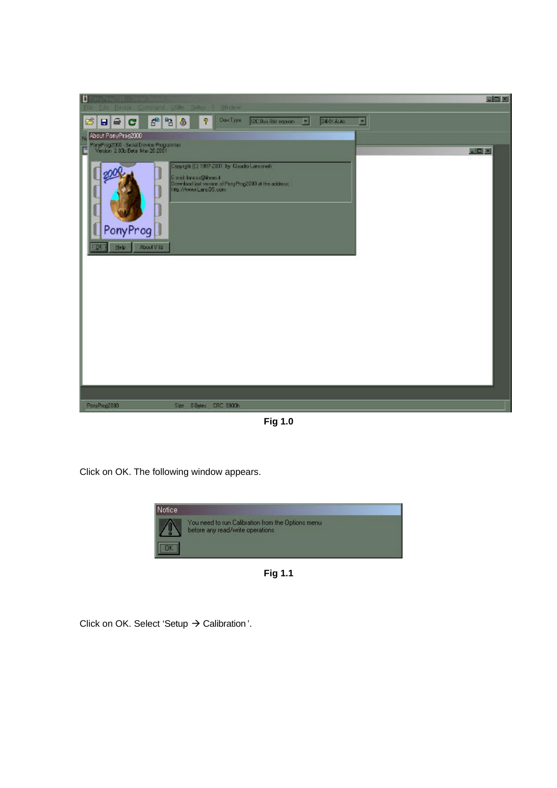

**Fig 1.0**

Click on OK. The following window appears.



**Fig 1.1**

Click on OK. Select 'Setup  $\rightarrow$  Calibration'.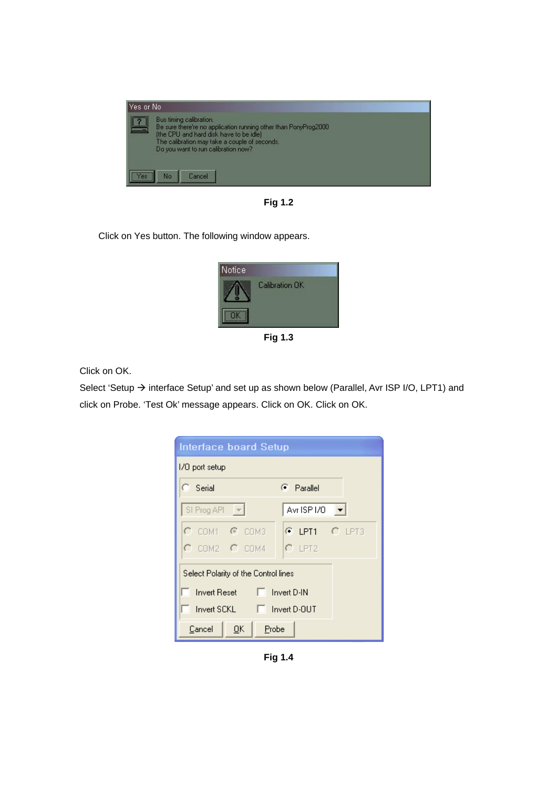

**Fig 1.2**

Click on Yes button. The following window appears.



**Fig 1.3**

Click on OK.

Select 'Setup → interface Setup' and set up as shown below (Parallel, Avr ISP I/O, LPT1) and click on Probe. 'Test Ok' message appears. Click on OK. Click on OK.

| <b>Interface board Setup</b>         |                           |
|--------------------------------------|---------------------------|
| 1/0 port setup                       |                           |
| C Serial                             | Parallel<br>G.            |
| SI Prog API $\rightarrow$            | Avr ISP I/O $\rightarrow$ |
| O.<br>$CM1 - C$ COM3                 | C LPT1 C LPT3             |
| $C$ COM2 $C$ COM4                    | $C$ LPT2                  |
| Select Polarity of the Control lines |                           |
| $\Box$ Invert D-IN<br>Invert Reset   |                           |
| Invert SCKL ■ Invert D-0UT           |                           |
| Cancel<br>QK<br>Probe                |                           |

**Fig 1.4**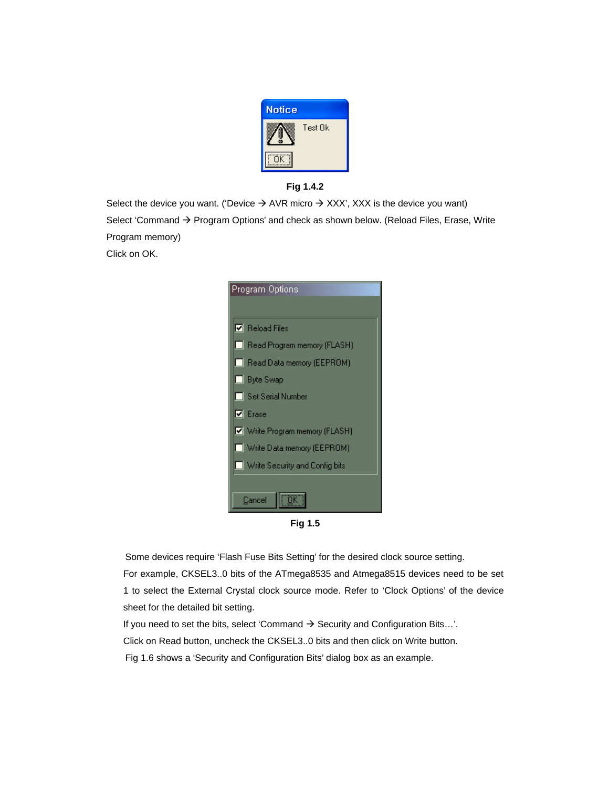



Select the device you want. ('Device  $\rightarrow$  AVR micro  $\rightarrow$  XXX', XXX is the device you want) Select 'Command  $\rightarrow$  Program Options' and check as shown below. (Reload Files, Erase, Write Program memory) Click on OK.



**Fig 1.5**

Some devices require 'Flash Fuse Bits Setting' for the desired clock source setting. For example, CKSEL3..0 bits of the ATmega8535 and Atmega8515 devices need to be set 1 to select the External Crystal clock source mode. Refer to 'Clock Options' of the device sheet for the detailed bit setting.

If you need to set the bits, select 'Command  $\rightarrow$  Security and Configuration Bits...'. Click on Read button, uncheck the CKSEL3..0 bits and then click on Write button. Fig 1.6 shows a 'Security and Configuration Bits' dialog box as an example.